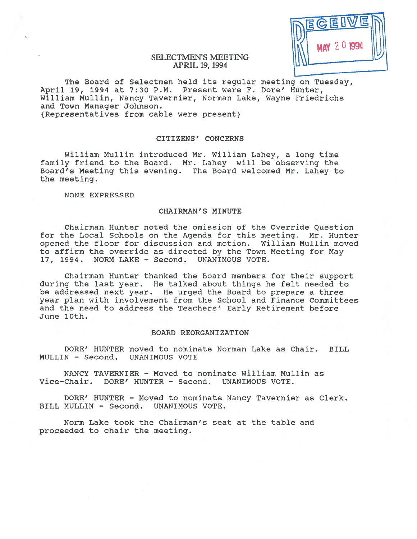| MEGEDVE |  |
|---------|--|
|         |  |

# SELECTMEN'S MEETING APRIL 19, 1994

The Board of Selectmen held its regular meeting on Tuesday, April 19, 1994 at 7:30 P.M. Present were F. Dore' Hunter, William Mullin, Nancy Tavernier, Norman Lake, Wayne Friedrichs and Town Manager Johnson. {Representatives from cable were present}

### CITIZENS' CONCERNS

William Mullin introduced Mr. William Lahey, <sup>a</sup> long time family friend to the Board. Mr. Lahey will be observing the Board's Meeting this evening. The Board welcomed Mr. Lahey to the meeting.

NONE EXPRESSED

4

## CHAIRMAN' S MINUTE

Chairman Hunter noted the omission of the Override Question for the Local Schools on the Agenda for this meeting. Mr. Hunter opened the floor for discussion and motion. William Mullin moved to affirm the override as directed by the Town Meeting for May 17, 1994. NORM LAKE - Second. UNANIMOUS VOTE.

Chairman Hunter thanked the Board members for their suppor<sup>t</sup> during the last year. He talked about things he felt needed to be addressed next year. He urged the Board to prepare <sup>a</sup> three year plan with involvement from the School and finance Committees and the need to address the Teachers' Early Retirement before June 10th.

## BOARD REORGANIZATION

DORE' HUNTER moved to nominate Norman Lake as Chair, BILL MULLIN - Second. UNANIMOUS VOTE

NANCY TAVERNIER — Moved to nominate William Mullin as Vice-Chair. DORE' HUNTER - Second. UNANIMOUS VOTE.

DORE' HUNTER - Moved to nominate Nancy Tavernier as Clerk. BILL MULLIN - Second. UNANIMOUS VOTE.

Norm Lake took the Chairman's seat at the table and proceeded to chair the meeting.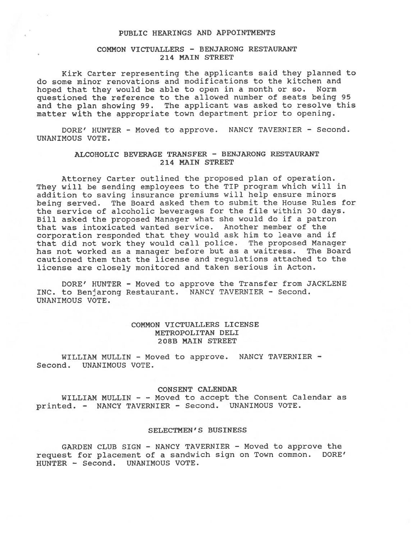### PUBLIC HEARINGS AND APPOINTMENTS

# COMMON VICTUALLERS - BENJARONG RESTAURANT 214 MAIN STREET

Kirk Carter representing the applicants said they <sup>p</sup>lanned to do some minor renovations and modifications to the kitchen and hoped that they would be able to open in <sup>a</sup> month or so. Norm questioned the reference to the allowed number of seats being 95 and the <sup>p</sup>lan showing 99. The applicant was asked to resolve this matter with the appropriate town department prior to opening.

DORE' HUNTER - Moved to approve. NANCY TAVERNIER - Second. UNANIMOUS VOTE.

# ALCOHOLIC BEVERAGE TRANSFER - BENJARONG RESTAURANT 214 MAIN STREET

Attorney Carter outlined the proposed <sup>p</sup>lan of operation. They will be sending employees to the TIP program which will in addition to saving insurance premiums will help ensure minors being served. The Board asked them to submit the House Rules for the service of alcoholic beverages for the file within 30 days. Bill asked the propose<sup>d</sup> Manager what she would do if <sup>a</sup> patron that was intoxicated wanted service. Another member of the corporation responded that they would ask him to leave and if that did not work they would call police. The propose<sup>d</sup> Manager has not worked as <sup>a</sup> manager before but as <sup>a</sup> waitress. The Board cautioned them that the license and regulations attached to the license are closely monitored and taken serious in Acton.

DORE' HUNTER - Moved to approve the Transfer from JACKLENE INC. to Benjarong Restaurant. NANCY TAVERNIER - Second. UNANIMOUS VOTE.

# COMMON VICTUALLERS LICENSE METROPOLITAN DELI 208B MAIN STREET

WILLIAM MULLIN - Moved to approve. NANCY TAVERNIER -Second. UNANIMOUS VOTE.

#### CONSENT CALENDAR

WILLIAM MULLIN - - Moved to accep<sup>t</sup> the Consent Calendar as printed. - NANCY TAVERNIER - Second. UNANIMOUS VOTE.

## SELECTMEN' S BUSINESS

GARDEN CLUB SIGN - NANCY TAVERNIER - Moved to approve the reques<sup>t</sup> for <sup>p</sup>lacement of <sup>a</sup> sandwich sign on Town common. DORE' HUNTER - Second. UNANIMOUS VOTE.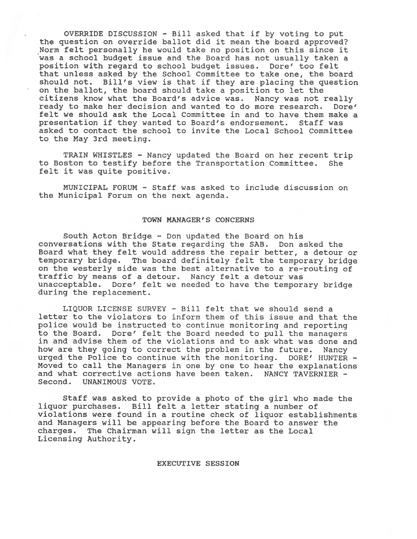OVERRIDE DISCUSSION - Bill asked that if by voting to pu<sup>t</sup> the question on override ballot did it mean the board approved? Norm felt personally he would take no position on this since it was <sup>a</sup> school budget issue and the Board has not usually taken <sup>a</sup> position with regard to school budget issues. Dore' too felt that unless asked by the School Committee to take one, the board should not. Bill's view is that if they are <sup>p</sup>lacing the question on the ballot, the board should take <sup>a</sup> position to let the citizens know what the Board's advice was. Nancy was not really ready to make her decision and wanted to do more research. Dore' felt we should ask the Local Committee in and to have them make <sup>a</sup> presentation if they wanted to Board's endorsement. Staff was asked to contact the school to invite the Local School Committee to the May 3rd meeting.

TRAIN WHISTLES - Nancy updated the Board on her recent trip to Boston to testify before the Transportation Committee. She felt it was quite positive.

MUNICIPAL FORUN - Staff was asked to include discussion on the Municipal Forum on the next agenda.

#### TOWN MANAGER'S CONCERNS

South Acton Bridge - Don updated the Board on his conversations with the State regarding the SAB. Don asked the Board what they felt would address the repair better, <sup>a</sup> detour or temporary bridge. The board definitely felt the temporary bridge on the westerly side was the best alternative to <sup>a</sup> re—routing of traffic by means of <sup>a</sup> detour. Nancy felt <sup>a</sup> detour was unacceptable. Dore' felt we needed to have the temporary bridge during the replacement.

LIQUOR LICENSE SURVEY - Bill felt that we should send <sup>a</sup> letter to the violators to inform them of this issue and that the police would be instructed to continue monitoring and reporting to the Board. Dore' felt the Board needed to pull the managers in and advise them of the violations and to ask what was done and how are they going to correct the problem in the future. Nancy urged the Police to continue with the monitoring. DORE' HUNTER - Moved to call the Managers in one by one to hear the explanations and what corrective actions have been taken. NANCY TAVERNIER -Second. UNANIMOUS VOTE.

Staff was asked to provide <sup>a</sup> photo of the girl who made the liquor purchases. Bill felt <sup>a</sup> letter stating <sup>a</sup> number of violations were found in <sup>a</sup> routine check of liquor establishments and Managers will be appearing before the Board to answer the charges. The Chairman will sign the letter as the Local Licensing Authority.

#### EXECUTIVE SESSION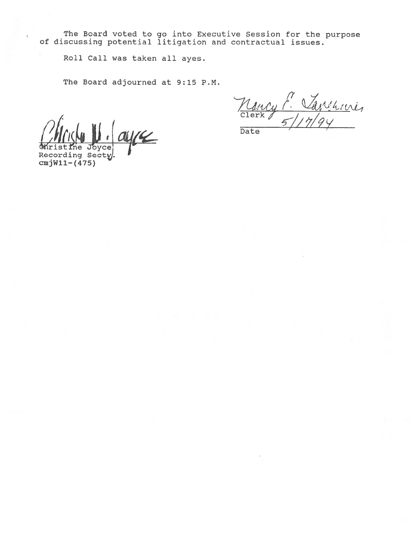The Board voted to go into Executive Session for the purpose of discussing potential litigation and contractual issues.

Roll Call was taken all ayes.

The Board adjourned at 9:15 P.M.

 $\mathcal{L}$ Joyce

Recording Secty, cmjW11-(475)

Mancy P. Vanchave,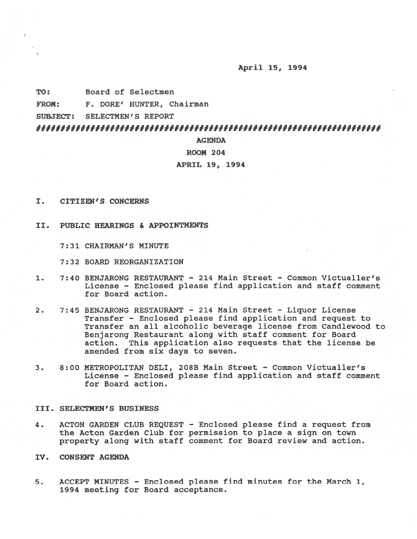## April 15, 1994

TO: Board of Selectmen

FROM: F. DORE' HUNTER, Chairman

SUBJECT: SELECTMEN'S REPORT

# 

# AGENDA

### ROOM 204

## APRIL 19, 1994

- I. CITIZEN'S CONCERNS
- II. PUBLIC HEARINGS & APPOINTMENTS
	- 7:31 CHAIRMAN'S MINUTE
	- 7:32 BOARD REORGANIZATION
- 1. 7:40 BENJARONG RESTAURANT 214 Main Street Common Victualler's License — Enclosed please find application and staff comment for Board action.
- 2. 7:45 BENJARONG RESTAURANT 214 Main Street Liquor License Transfer — Enclosed please find application and reques<sup>t</sup> to Transfer an all alcoholic beverage license from Candlewood to Benjarong Restaurant along with staff comment for Board action. This application also requests that the license be amended from six days to seven.
- 3. 8:00 METROPOLITAN DELI, 208B Main Street Common Victualler's License — Enclosed please find application and staff comment for Board action.

# III. SELECTMEN'S BUSINESS

- 4. ACTON GARDEN CLUB REQUEST Enclosed please find <sup>a</sup> reques<sup>t</sup> from the Acton Garden Club for permission to place <sup>a</sup> sign on town property along with staff comment for Board review and action.
- IV. CONSENT AGENDA
- 5. ACCEPT MINUTES Enclosed please find minutes for the March 1, 1994 meeting for Board acceptance.